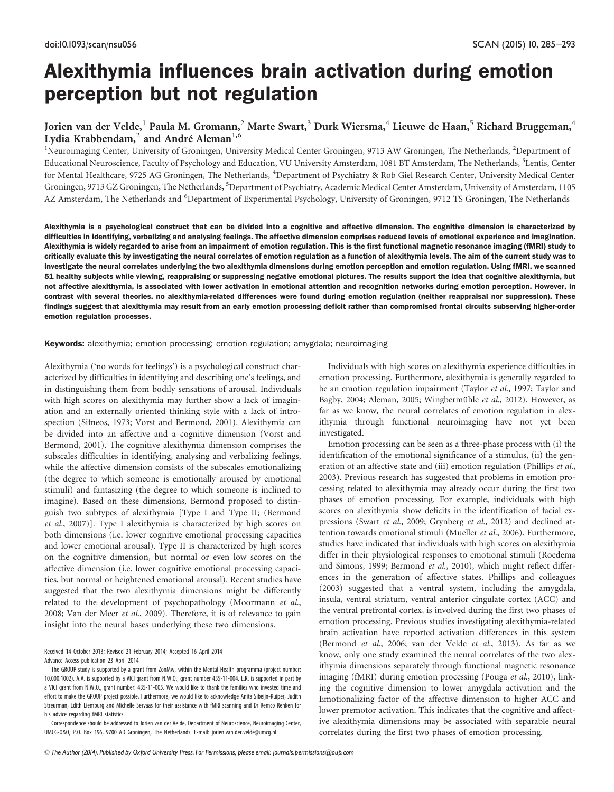# Alexithymia influences brain activation during emotion perception but not regulation

# Jorien van der Velde,<sup>1</sup> Paula M. Gromann,<sup>2</sup> Marte Swart,<sup>3</sup> Durk Wiersma,<sup>4</sup> Lieuwe de Haan,<sup>5</sup> Richard Bruggeman,<sup>4</sup> Lydia Krabbendam,<sup>2</sup> and André Aleman<sup>1,6</sup>

<sup>1</sup>Neuroimaging Center, University of Groningen, University Medical Center Groningen, 9713 AW Groningen, The Netherlands, <sup>2</sup>Department of Educational Neuroscience, Faculty of Psychology and Education, VU University Amsterdam, 1081 BT Amsterdam, The Netherlands, <sup>3</sup>Lentis, Center for Mental Healthcare, 9725 AG Groningen, The Netherlands, <sup>4</sup>Department of Psychiatry & Rob Giel Research Center, University Medical Center Groningen, 9713 GZ Groningen, The Netherlands, <sup>5</sup>Department of Psychiatry, Academic Medical Center Amsterdam, University of Amsterdam, 1105 AZ Amsterdam, The Netherlands and <sup>6</sup>Department of Experimental Psychology, University of Groningen, 9712 TS Groningen, The Netherlands

Alexithymia is a psychological construct that can be divided into a cognitive and affective dimension. The cognitive dimension is characterized by difficulties in identifying, verbalizing and analysing feelings. The affective dimension comprises reduced levels of emotional experience and imagination. Alexithymia is widely regarded to arise from an impairment of emotion regulation. This is the first functional magnetic resonance imaging (fMRI) study to critically evaluate this by investigating the neural correlates of emotion regulation as a function of alexithymia levels. The aim of the current study was to investigate the neural correlates underlying the two alexithymia dimensions during emotion perception and emotion regulation. Using fMRI, we scanned 51 healthy subjects while viewing, reappraising or suppressing negative emotional pictures. The results support the idea that cognitive alexithymia, but not affective alexithymia, is associated with lower activation in emotional attention and recognition networks during emotion perception. However, in contrast with several theories, no alexithymia-related differences were found during emotion regulation (neither reappraisal nor suppression). These findings suggest that alexithymia may result from an early emotion processing deficit rather than compromised frontal circuits subserving higher-order emotion regulation processes.

Keywords: alexithymia; emotion processing; emotion regulation; amygdala; neuroimaging

Alexithymia ('no words for feelings') is a psychological construct characterized by difficulties in identifying and describing one's feelings, and in distinguishing them from bodily sensations of arousal. Individuals with high scores on alexithymia may further show a lack of imagination and an externally oriented thinking style with a lack of introspection [\(Sifneos, 1973;](#page-7-0) [Vorst and Bermond, 2001\)](#page-8-0). Alexithymia can be divided into an affective and a cognitive dimension ([Vorst and](#page-8-0) [Bermond, 2001\)](#page-8-0). The cognitive alexithymia dimension comprises the subscales difficulties in identifying, analysing and verbalizing feelings, while the affective dimension consists of the subscales emotionalizing (the degree to which someone is emotionally aroused by emotional stimuli) and fantasizing (the degree to which someone is inclined to imagine). Based on these dimensions, Bermond proposed to distinguish two subtypes of alexithymia [Type I and Type II; [\(Bermond](#page-7-0) et al[., 2007\)](#page-7-0)]. Type I alexithymia is characterized by high scores on both dimensions (i.e. lower cognitive emotional processing capacities and lower emotional arousal). Type II is characterized by high scores on the cognitive dimension, but normal or even low scores on the affective dimension (i.e. lower cognitive emotional processing capacities, but normal or heightened emotional arousal). Recent studies have suggested that the two alexithymia dimensions might be differently related to the development of psychopathology ([Moormann](#page-7-0) et al., [2008;](#page-7-0) [Van der Meer](#page-8-0) et al., 2009). Therefore, it is of relevance to gain insight into the neural bases underlying these two dimensions.

Received 14 October 2013; Revised 21 February 2014; Accepted 16 April 2014 Advance Access publication 23 April 2014

Correspondence should be addressed to Jorien van der Velde, Department of Neuroscience, Neuroimaging Center, UMCG-O&O, P.O. Box 196, 9700 AD Groningen, The Netherlands. E-mail: jorien.van.der.velde@umcg.nl

Individuals with high scores on alexithymia experience difficulties in emotion processing. Furthermore, alexithymia is generally regarded to be an emotion regulation impairment (Taylor et al[., 1997](#page-8-0); [Taylor and](#page-8-0) [Bagby, 2004;](#page-8-0) [Aleman, 2005](#page-7-0); Wingbermühle et al., 2012). However, as far as we know, the neural correlates of emotion regulation in alexithymia through functional neuroimaging have not yet been investigated.

Emotion processing can be seen as a three-phase process with (i) the identification of the emotional significance of a stimulus, (ii) the gen-eration of an affective state and (iii) emotion regulation ([Phillips](#page-7-0) et al., [2003\)](#page-7-0). Previous research has suggested that problems in emotion processing related to alexithymia may already occur during the first two phases of emotion processing. For example, individuals with high scores on alexithymia show deficits in the identification of facial ex-pressions (Swart et al[., 2009](#page-8-0); [Grynberg](#page-7-0) et al., 2012) and declined attention towards emotional stimuli [\(Mueller](#page-7-0) et al., 2006). Furthermore, studies have indicated that individuals with high scores on alexithymia differ in their physiological responses to emotional stimuli ([Roedema](#page-7-0) [and Simons, 1999](#page-7-0); [Bermond](#page-7-0) et al., 2010), which might reflect differences in the generation of affective states. Phillips and colleagues ([2003\)](#page-7-0) suggested that a ventral system, including the amygdala, insula, ventral striatum, ventral anterior cingulate cortex (ACC) and the ventral prefrontal cortex, is involved during the first two phases of emotion processing. Previous studies investigating alexithymia-related brain activation have reported activation differences in this system ([Bermond](#page-7-0) et al., 2006; [van der Velde](#page-8-0) et al., 2013). As far as we know, only one study examined the neural correlates of the two alexithymia dimensions separately through functional magnetic resonance imaging (fMRI) during emotion processing (Pouga et al[., 2010\)](#page-7-0), linking the cognitive dimension to lower amygdala activation and the Emotionalizing factor of the affective dimension to higher ACC and lower premotor activation. This indicates that the cognitive and affective alexithymia dimensions may be associated with separable neural correlates during the first two phases of emotion processing.

The GROUP study is supported by a grant from ZonMw, within the Mental Health programma (project number: 10.000.1002). A.A. is supported by a VICI grant from N.W.O., grant number 435-11-004. L.K. is supported in part by a VICI grant from N.W.O., grant number: 435-11-005. We would like to thank the families who invested time and effort to make the GROUP project possible. Furthermore, we would like to acknowledge Anita Sibeijn-Kuiper, Judith Streurman, Edith Liemburg and Michelle Servaas for their assistance with fMRI scanning and Dr Remco Renken for his advice regarding fMRI statistics.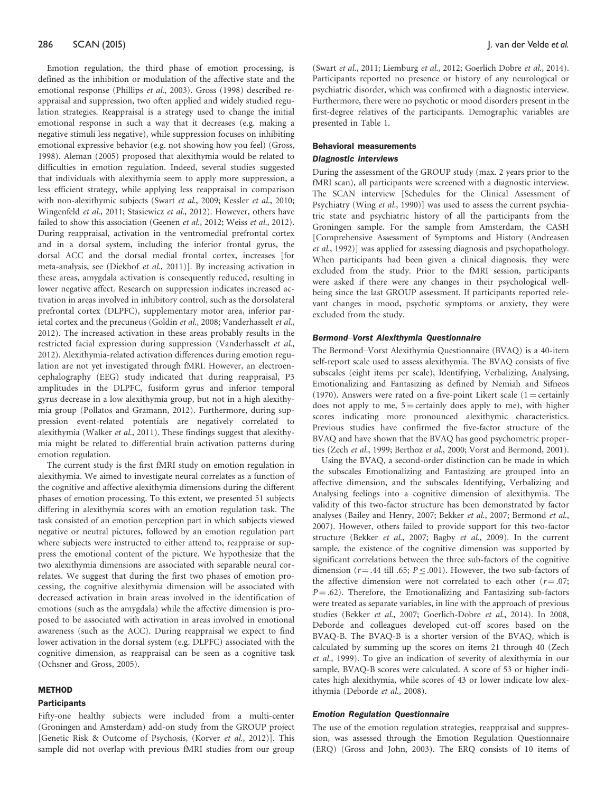Emotion regulation, the third phase of emotion processing, is defined as the inhibition or modulation of the affective state and the emotional response ([Phillips](#page-7-0) et al., 2003). [Gross \(1998\)](#page-7-0) described reappraisal and suppression, two often applied and widely studied regulation strategies. Reappraisal is a strategy used to change the initial emotional response in such a way that it decreases (e.g. making a negative stimuli less negative), while suppression focuses on inhibiting emotional expressive behavior (e.g. not showing how you feel) [\(Gross,](#page-7-0) [1998](#page-7-0)). [Aleman \(2005\)](#page-7-0) proposed that alexithymia would be related to difficulties in emotion regulation. Indeed, several studies suggested that individuals with alexithymia seem to apply more suppression, a less efficient strategy, while applying less reappraisal in comparison with non-alexithymic subjects (Swart et al[., 2009;](#page-8-0) [Kessler](#page-7-0) et al., 2010; [Wingenfeld](#page-8-0) et al., 2011; [Stasiewicz](#page-8-0) et al., 2012). However, others have failed to show this association [\(Geenen](#page-7-0) et al[., 2012](#page-8-0); Weiss et al., 2012). During reappraisal, activation in the ventromedial prefrontal cortex and in a dorsal system, including the inferior frontal gyrus, the dorsal ACC and the dorsal medial frontal cortex, increases [for meta-analysis, see ([Diekhof](#page-7-0) et al., 2011)]. By increasing activation in these areas, amygdala activation is consequently reduced, resulting in lower negative affect. Research on suppression indicates increased activation in areas involved in inhibitory control, such as the dorsolateral prefrontal cortex (DLPFC), supplementary motor area, inferior parietal cortex and the precuneus ([Goldin](#page-7-0) et al., 2008; [Vanderhasselt](#page-8-0) et al., [2012](#page-8-0)). The increased activation in these areas probably results in the restricted facial expression during suppression ([Vanderhasselt](#page-8-0) et al., [2012](#page-8-0)). Alexithymia-related activation differences during emotion regulation are not yet investigated through fMRI. However, an electroencephalography (EEG) study indicated that during reappraisal, P3 amplitudes in the DLPFC, fusiform gyrus and inferior temporal gyrus decrease in a low alexithymia group, but not in a high alexithymia group [\(Pollatos and Gramann, 2012\)](#page-7-0). Furthermore, during suppression event-related potentials are negatively correlated to alexithymia ([Walker](#page-8-0) et al., 2011). These findings suggest that alexithymia might be related to differential brain activation patterns during emotion regulation.

The current study is the first fMRI study on emotion regulation in alexithymia. We aimed to investigate neural correlates as a function of the cognitive and affective alexithymia dimensions during the different phases of emotion processing. To this extent, we presented 51 subjects differing in alexithymia scores with an emotion regulation task. The task consisted of an emotion perception part in which subjects viewed negative or neutral pictures, followed by an emotion regulation part where subjects were instructed to either attend to, reappraise or suppress the emotional content of the picture. We hypothesize that the two alexithymia dimensions are associated with separable neural correlates. We suggest that during the first two phases of emotion processing, the cognitive alexithymia dimension will be associated with decreased activation in brain areas involved in the identification of emotions (such as the amygdala) while the affective dimension is proposed to be associated with activation in areas involved in emotional awareness (such as the ACC). During reappraisal we expect to find lower activation in the dorsal system (e.g. DLPFC) associated with the cognitive dimension, as reappraisal can be seen as a cognitive task [\(Ochsner and Gross, 2005\)](#page-7-0).

# **METHOD**

### **Participants**

Fifty-one healthy subjects were included from a multi-center (Groningen and Amsterdam) add-on study from the GROUP project [Genetic Risk & Outcome of Psychosis, (Korver et al[., 2012](#page-7-0))]. This sample did not overlap with previous fMRI studies from our group

(Swart et al[., 2011](#page-8-0); [Liemburg](#page-7-0) et al., 2012; [Goerlich Dobre](#page-7-0) et al., 2014). Participants reported no presence or history of any neurological or psychiatric disorder, which was confirmed with a diagnostic interview. Furthermore, there were no psychotic or mood disorders present in the first-degree relatives of the participants. Demographic variables are presented in [Table 1](#page-2-0).

#### Behavioral measurements

#### Diagnostic interviews

During the assessment of the GROUP study (max. 2 years prior to the fMRI scan), all participants were screened with a diagnostic interview. The SCAN interview [Schedules for the Clinical Assessment of Psychiatry (Wing et al[., 1990](#page-8-0))] was used to assess the current psychiatric state and psychiatric history of all the participants from the Groningen sample. For the sample from Amsterdam, the CASH [Comprehensive Assessment of Symptoms and History ([Andreasen](#page-7-0) et al[., 1992](#page-7-0))] was applied for assessing diagnosis and psychopathology. When participants had been given a clinical diagnosis, they were excluded from the study. Prior to the fMRI session, participants were asked if there were any changes in their psychological wellbeing since the last GROUP assessment. If participants reported relevant changes in mood, psychotic symptoms or anxiety, they were excluded from the study.

# Bermond–Vorst Alexithymia Questionnaire

The Bermond–Vorst Alexithymia Questionnaire (BVAQ) is a 40-item self-report scale used to assess alexithymia. The BVAQ consists of five subscales (eight items per scale), Identifying, Verbalizing, Analysing, Emotionalizing and Fantasizing as defined by [Nemiah and Sifneos](#page-7-0) [\(1970\).](#page-7-0) Answers were rated on a five-point Likert scale (1 = certainly does not apply to me,  $5 =$  certainly does apply to me), with higher scores indicating more pronounced alexithymic characteristics. Previous studies have confirmed the five-factor structure of the BVAQ and have shown that the BVAQ has good psychometric proper-ties (Zech et al[., 1999](#page-8-0); [Berthoz](#page-7-0) et al., 2000; Vorst and Bermond, 2001).

Using the BVAQ, a second-order distinction can be made in which the subscales Emotionalizing and Fantasizing are grouped into an affective dimension, and the subscales Identifying, Verbalizing and Analysing feelings into a cognitive dimension of alexithymia. The validity of this two-factor structure has been demonstrated by factor analyses [\(Bailey and Henry, 2007](#page-7-0); [Bekker](#page-7-0) et al., 2007; [Bermond](#page-7-0) et al., [2007\)](#page-7-0). However, others failed to provide support for this two-factor structure (Bekker et al[., 2007](#page-7-0); Bagby et al[., 2009\)](#page-7-0). In the current sample, the existence of the cognitive dimension was supported by significant correlations between the three sub-factors of the cognitive dimension ( $r = .44$  till .65;  $P \leq .001$ ). However, the two sub-factors of the affective dimension were not correlated to each other  $(r = .07;$  $P = .62$ ). Therefore, the Emotionalizing and Fantasizing sub-factors were treated as separate variables, in line with the approach of previous studies (Bekker et al[., 2007](#page-7-0); [Goerlich-Dobre](#page-7-0) et al., 2014). In 2008, Deborde and colleagues developed cut-off scores based on the BVAQ-B. The BVAQ-B is a shorter version of the BVAQ, which is calculated by summing up the scores on items 21 through 40 [\(Zech](#page-8-0) et al[., 1999](#page-8-0)). To give an indication of severity of alexithymia in our sample, BVAQ-B scores were calculated. A score of 53 or higher indicates high alexithymia, while scores of 43 or lower indicate low alexithymia ([Deborde](#page-7-0) et al., 2008).

#### Emotion Regulation Questionnaire

The use of the emotion regulation strategies, reappraisal and suppression, was assessed through the Emotion Regulation Questionnaire (ERQ) ([Gross and John, 2003](#page-7-0)). The ERQ consists of 10 items of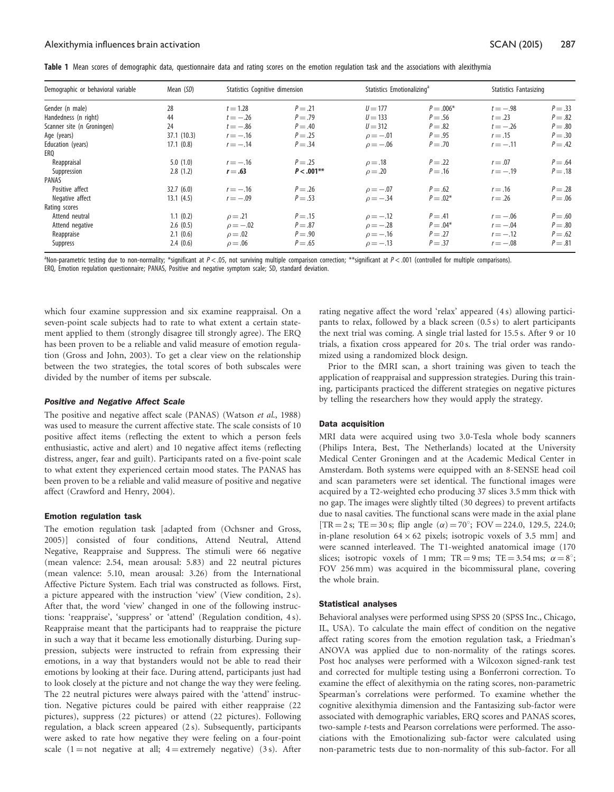| Demographic or behavioral variable | Mean (SD)  |               | Statistics Cognitive dimension |               | Statistics Emotionalizing <sup>ª</sup> |            | Statistics Fantasizing |  |
|------------------------------------|------------|---------------|--------------------------------|---------------|----------------------------------------|------------|------------------------|--|
| Gender (n male)                    | 28         | $t = 1.28$    | $P = .21$                      | $U = 177$     | $P = .006*$                            | $t = -.98$ | $P=.33$                |  |
| Handedness (n right)               | 44         | $t = -.26$    | $P=.79$                        | $U = 133$     | $P=.56$                                | $t=.23$    | $P=.82$                |  |
| Scanner site (n Groningen)         | 24         | $t = -.86$    | $P=.40$                        | $U = 312$     | $P=.82$                                | $t = -.26$ | $P=.80$                |  |
| Age (years)                        | 37.1(10.3) | $r = -.16$    | $P = .25$                      | $\rho = -.01$ | $P=.95$                                | $r=.15$    | $P=.30$                |  |
| Education (years)                  | 17.1(0.8)  | $r = -.14$    | $P = .34$                      | $\rho = -.06$ | $P=.70$                                | $r = -.11$ | $P=.42$                |  |
| ERO                                |            |               |                                |               |                                        |            |                        |  |
| Reappraisal                        | 5.0(1.0)   | $r = -.16$    | $P = .25$                      | $\rho = .18$  | $P=.22$                                | $r = .07$  | $P=.64$                |  |
| Suppression                        | 2.8(1.2)   | $r = .63$     | $P < .001**$                   | $\rho = .20$  | $P=.16$                                | $r = -.19$ | $P=.18$                |  |
| PANAS                              |            |               |                                |               |                                        |            |                        |  |
| Positive affect                    | 32.7(6.0)  | $r = -.16$    | $P=.26$                        | $\rho = -.07$ | $P=.62$                                | $r = .16$  | $P=.28$                |  |
| Negative affect                    | 13.1(4.5)  | $r = -.09$    | $P = .53$                      | $\rho = -.34$ | $P = .02*$                             | $r = .26$  | $P=.06$                |  |
| Rating scores                      |            |               |                                |               |                                        |            |                        |  |
| Attend neutral                     | 1.1(0.2)   | $\rho = .21$  | $P=.15$                        | $\rho = -.12$ | $P=.41$                                | $r = -.06$ | $P=.60$                |  |
| Attend negative                    | 2.6(0.5)   | $\rho = -.02$ | $P=.87$                        | $\rho = -.28$ | $P = .04*$                             | $r = -.04$ | $P=.80$                |  |
| Reappraise                         | 2.1(0.6)   | $\rho = .02$  | $P=.90$                        | $\rho = -.16$ | $P=.27$                                | $r = -.12$ | $P=.62$                |  |
| Suppress                           | 2.4(0.6)   | $\rho = .06$  | $P=.65$                        | $\rho = -.13$ | $P = .37$                              | $r = -.08$ | $P=.81$                |  |

<span id="page-2-0"></span>Table 1 Mean scores of demographic data, questionnaire data and rating scores on the emotion regulation task and the associations with alexithymia

Non-parametric testing due to non-normality; \*significant at P < .05, not surviving multiple comparison correction; \*\*significant at P < .001 (controlled for multiple comparisons). ERQ, Emotion regulation questionnaire; PANAS, Positive and negative symptom scale; SD, standard deviation.

which four examine suppression and six examine reappraisal. On a seven-point scale subjects had to rate to what extent a certain statement applied to them (strongly disagree till strongly agree). The ERQ has been proven to be a reliable and valid measure of emotion regulation ([Gross and John, 2003](#page-7-0)). To get a clear view on the relationship between the two strategies, the total scores of both subscales were divided by the number of items per subscale.

#### Positive and Negative Affect Scale

The positive and negative affect scale (PANAS) [\(Watson](#page-8-0) et al., 1988) was used to measure the current affective state. The scale consists of 10 positive affect items (reflecting the extent to which a person feels enthusiastic, active and alert) and 10 negative affect items (reflecting distress, anger, fear and guilt). Participants rated on a five-point scale to what extent they experienced certain mood states. The PANAS has been proven to be a reliable and valid measure of positive and negative affect [\(Crawford and Henry, 2004](#page-7-0)).

#### Emotion regulation task

The emotion regulation task [adapted from ([Ochsner and Gross,](#page-7-0) [2005\)](#page-7-0)] consisted of four conditions, Attend Neutral, Attend Negative, Reappraise and Suppress. The stimuli were 66 negative (mean valence: 2.54, mean arousal: 5.83) and 22 neutral pictures (mean valence: 5.10, mean arousal: 3.26) from the International Affective Picture System. Each trial was constructed as follows. First, a picture appeared with the instruction 'view' (View condition, 2 s). After that, the word 'view' changed in one of the following instructions: 'reappraise', 'suppress' or 'attend' (Regulation condition, 4 s). Reappraise meant that the participants had to reappraise the picture in such a way that it became less emotionally disturbing. During suppression, subjects were instructed to refrain from expressing their emotions, in a way that bystanders would not be able to read their emotions by looking at their face. During attend, participants just had to look closely at the picture and not change the way they were feeling. The 22 neutral pictures were always paired with the 'attend' instruction. Negative pictures could be paired with either reappraise (22 pictures), suppress (22 pictures) or attend (22 pictures). Following regulation, a black screen appeared (2 s). Subsequently, participants were asked to rate how negative they were feeling on a four-point scale  $(1 = not negative at all; 4 = extremely negative)$  (3 s). After rating negative affect the word 'relax' appeared (4 s) allowing participants to relax, followed by a black screen (0.5 s) to alert participants the next trial was coming. A single trial lasted for 15.5 s. After 9 or 10 trials, a fixation cross appeared for 20 s. The trial order was randomized using a randomized block design.

Prior to the fMRI scan, a short training was given to teach the application of reappraisal and suppression strategies. During this training, participants practiced the different strategies on negative pictures by telling the researchers how they would apply the strategy.

#### Data acquisition

MRI data were acquired using two 3.0-Tesla whole body scanners (Philips Intera, Best, The Netherlands) located at the University Medical Center Groningen and at the Academic Medical Center in Amsterdam. Both systems were equipped with an 8-SENSE head coil and scan parameters were set identical. The functional images were acquired by a T2-weighted echo producing 37 slices 3.5 mm thick with no gap. The images were slightly tilted (30 degrees) to prevent artifacts due to nasal cavities. The functional scans were made in the axial plane [TR = 2 s; TE = 30 s; flip angle  $(\alpha)$  = 70°; FOV = 224.0, 129.5, 224.0; in-plane resolution  $64 \times 62$  pixels; isotropic voxels of 3.5 mm] and were scanned interleaved. The T1-weighted anatomical image (170 slices; isotropic voxels of 1 mm;  $TR = 9$  ms;  $TE = 3.54$  ms;  $\alpha = 8^{\circ}$ ; FOV 256 mm) was acquired in the bicommissural plane, covering the whole brain.

### Statistical analyses

Behavioral analyses were performed using SPSS 20 (SPSS Inc., Chicago, IL, USA). To calculate the main effect of condition on the negative affect rating scores from the emotion regulation task, a Friedman's ANOVA was applied due to non-normality of the ratings scores. Post hoc analyses were performed with a Wilcoxon signed-rank test and corrected for multiple testing using a Bonferroni correction. To examine the effect of alexithymia on the rating scores, non-parametric Spearman's correlations were performed. To examine whether the cognitive alexithymia dimension and the Fantasizing sub-factor were associated with demographic variables, ERQ scores and PANAS scores, two-sample t-tests and Pearson correlations were performed. The associations with the Emotionalizing sub-factor were calculated using non-parametric tests due to non-normality of this sub-factor. For all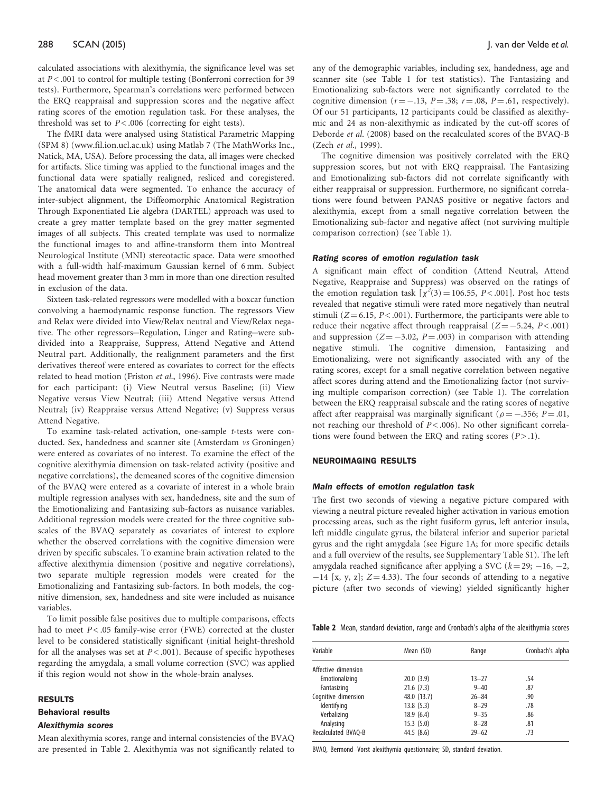calculated associations with alexithymia, the significance level was set at  $P < .001$  to control for multiple testing (Bonferroni correction for 39 tests). Furthermore, Spearman's correlations were performed between the ERQ reappraisal and suppression scores and the negative affect rating scores of the emotion regulation task. For these analyses, the threshold was set to  $P < .006$  (correcting for eight tests).

The fMRI data were analysed using Statistical Parametric Mapping (SPM 8) [\(www.fil.ion.ucl.ac.uk](www.fil.ion.ucl.ac.uk)) using Matlab 7 (The MathWorks Inc., Natick, MA, USA). Before processing the data, all images were checked for artifacts. Slice timing was applied to the functional images and the functional data were spatially realigned, resliced and coregistered. The anatomical data were segmented. To enhance the accuracy of inter-subject alignment, the Diffeomorphic Anatomical Registration Through Exponentiated Lie algebra (DARTEL) approach was used to create a grey matter template based on the grey matter segmented images of all subjects. This created template was used to normalize the functional images to and affine-transform them into Montreal Neurological Institute (MNI) stereotactic space. Data were smoothed with a full-width half-maximum Gaussian kernel of 6 mm. Subject head movement greater than 3 mm in more than one direction resulted in exclusion of the data.

Sixteen task-related regressors were modelled with a boxcar function convolving a haemodynamic response function. The regressors View and Relax were divided into View/Relax neutral and View/Relax negative. The other regressors-Regulation, Linger and Rating-were subdivided into a Reappraise, Suppress, Attend Negative and Attend Neutral part. Additionally, the realignment parameters and the first derivatives thereof were entered as covariates to correct for the effects related to head motion [\(Friston](#page-7-0) et al., 1996). Five contrasts were made for each participant: (i) View Neutral versus Baseline; (ii) View Negative versus View Neutral; (iii) Attend Negative versus Attend Neutral; (iv) Reappraise versus Attend Negative; (v) Suppress versus Attend Negative.

To examine task-related activation, one-sample t-tests were conducted. Sex, handedness and scanner site (Amsterdam vs Groningen) were entered as covariates of no interest. To examine the effect of the cognitive alexithymia dimension on task-related activity (positive and negative correlations), the demeaned scores of the cognitive dimension of the BVAQ were entered as a covariate of interest in a whole brain multiple regression analyses with sex, handedness, site and the sum of the Emotionalizing and Fantasizing sub-factors as nuisance variables. Additional regression models were created for the three cognitive subscales of the BVAQ separately as covariates of interest to explore whether the observed correlations with the cognitive dimension were driven by specific subscales. To examine brain activation related to the affective alexithymia dimension (positive and negative correlations), two separate multiple regression models were created for the Emotionalizing and Fantasizing sub-factors. In both models, the cognitive dimension, sex, handedness and site were included as nuisance variables.

To limit possible false positives due to multiple comparisons, effects had to meet  $P < .05$  family-wise error (FWE) corrected at the cluster level to be considered statistically significant (initial height-threshold for all the analyses was set at  $P < .001$ ). Because of specific hypotheses regarding the amygdala, a small volume correction (SVC) was applied if this region would not show in the whole-brain analyses.

#### RESULTS

# Behavioral results

# Alexithymia scores

Mean alexithymia scores, range and internal consistencies of the BVAQ are presented in Table 2. Alexithymia was not significantly related to any of the demographic variables, including sex, handedness, age and scanner site (see [Table 1](#page-2-0) for test statistics). The Fantasizing and Emotionalizing sub-factors were not significantly correlated to the cognitive dimension  $(r = -.13, P = .38; r = .08, P = .61, respectively)$ . Of our 51 participants, 12 participants could be classified as alexithymic and 24 as non-alexithymic as indicated by the cut-off scores of [Deborde](#page-7-0) et al. (2008) based on the recalculated scores of the BVAQ-B (Zech et al[., 1999\)](#page-8-0).

The cognitive dimension was positively correlated with the ERQ suppression scores, but not with ERQ reappraisal. The Fantasizing and Emotionalizing sub-factors did not correlate significantly with either reappraisal or suppression. Furthermore, no significant correlations were found between PANAS positive or negative factors and alexithymia, except from a small negative correlation between the Emotionalizing sub-factor and negative affect (not surviving multiple comparison correction) (see [Table 1](#page-2-0)).

#### Rating scores of emotion regulation task

A significant main effect of condition (Attend Neutral, Attend Negative, Reappraise and Suppress) was observed on the ratings of the emotion regulation task  $\left[\chi^2(3) = 106.55, P < .001\right]$ . Post hoc tests revealed that negative stimuli were rated more negatively than neutral stimuli ( $Z = 6.15$ ,  $P < .001$ ). Furthermore, the participants were able to reduce their negative affect through reappraisal  $(Z = -5.24, P < .001)$ and suppression  $(Z = -3.02, P = .003)$  in comparison with attending negative stimuli. The cognitive dimension, Fantasizing and Emotionalizing, were not significantly associated with any of the rating scores, except for a small negative correlation between negative affect scores during attend and the Emotionalizing factor (not surviving multiple comparison correction) (see [Table 1](#page-2-0)). The correlation between the ERQ reappraisal subscale and the rating scores of negative affect after reappraisal was marginally significant ( $\rho = -.356$ ; P = .01, not reaching our threshold of  $P < .006$ ). No other significant correlations were found between the ERQ and rating scores  $(P > .1)$ .

# NEUROIMAGING RESULTS

#### Main effects of emotion regulation task

The first two seconds of viewing a negative picture compared with viewing a neutral picture revealed higher activation in various emotion processing areas, such as the right fusiform gyrus, left anterior insula, left middle cingulate gyrus, the bilateral inferior and superior parietal gyrus and the right amygdala (see [Figure 1](#page-4-0)A; for more specific details and a full overview of the results, see [Supplementary Table S1\)](http://scan.oxfordjournals.org/lookup/suppl/doi:10.1093/scan/nsu056/-/DC1). The left amygdala reached significance after applying a SVC ( $k = 29$ ; -16, -2,  $-14$  [x, y, z];  $Z=4.33$ ). The four seconds of attending to a negative picture (after two seconds of viewing) yielded significantly higher

Table 2 Mean, standard deviation, range and Cronbach's alpha of the alexithymia scores

| Variable            | Mean (SD)   | Range     | Cronbach's alpha |  |  |
|---------------------|-------------|-----------|------------------|--|--|
| Affective dimension |             |           |                  |  |  |
| Emotionalizing      | 20.0(3.9)   | $13 - 27$ | .54              |  |  |
| Fantasizing         | 21.6(7.3)   | $9 - 40$  | .87              |  |  |
| Cognitive dimension | 48.0 (13.7) | $26 - 84$ | .90              |  |  |
| Identifying         | 13.8(5.3)   | $8 - 29$  | .78              |  |  |
| Verbalizing         | 18.9(6.4)   | $9 - 35$  | .86              |  |  |
| Analysing           | 15.3(5.0)   | $8 - 28$  | .81              |  |  |
| Recalculated BVAO-B | 44.5(8.6)   | $29 - 62$ | .73              |  |  |

BVAQ, Bermond–Vorst alexithymia questionnaire; SD, standard deviation.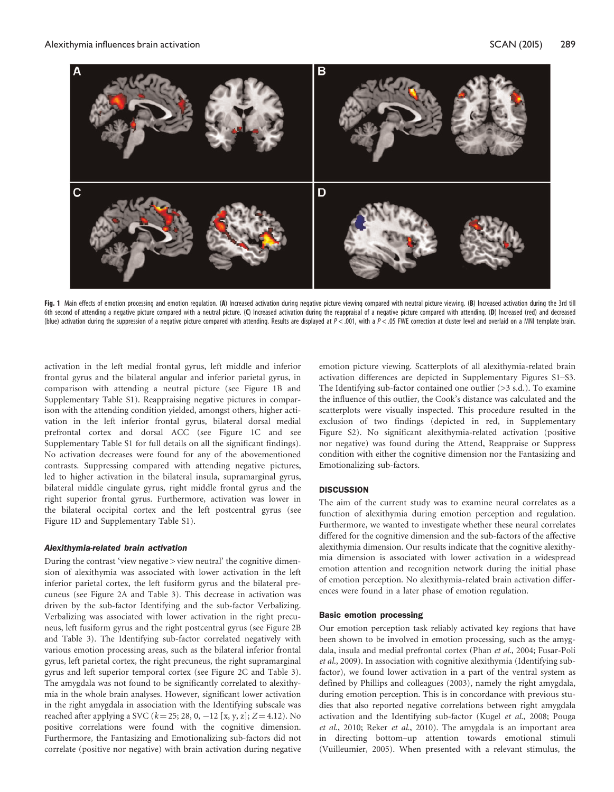<span id="page-4-0"></span>

Fig. 1 Main effects of emotion processing and emotion regulation. (A) Increased activation during negative picture viewing compared with neutral picture viewing. (B) Increased activation during the 3rd till 6th second of attending a negative picture compared with a neutral picture. (C) Increased activation during the reappraisal of a negative picture compared with attending. (D) Increased (red) and decreased (blue) activation during the suppression of a negative picture compared with attending. Results are displayed at P < .001, with a P < .05 FWE correction at cluster level and overlaid on a MNI template brain.

activation in the left medial frontal gyrus, left middle and inferior frontal gyrus and the bilateral angular and inferior parietal gyrus, in comparison with attending a neutral picture (see Figure 1B and [Supplementary Table S1](http://scan.oxfordjournals.org/lookup/suppl/doi:10.1093/scan/nsu056/-/DC1)). Reappraising negative pictures in comparison with the attending condition yielded, amongst others, higher activation in the left inferior frontal gyrus, bilateral dorsal medial prefrontal cortex and dorsal ACC (see Figure 1C and see [Supplementary Table S1](http://scan.oxfordjournals.org/lookup/suppl/doi:10.1093/scan/nsu056/-/DC1) for full details on all the significant findings). No activation decreases were found for any of the abovementioned contrasts. Suppressing compared with attending negative pictures, led to higher activation in the bilateral insula, supramarginal gyrus, bilateral middle cingulate gyrus, right middle frontal gyrus and the right superior frontal gyrus. Furthermore, activation was lower in the bilateral occipital cortex and the left postcentral gyrus (see Figure 1D and [Supplementary Table S1\)](http://scan.oxfordjournals.org/lookup/suppl/doi:10.1093/scan/nsu056/-/DC1).

#### Alexithymia-related brain activation

During the contrast 'view negative > view neutral' the cognitive dimension of alexithymia was associated with lower activation in the left inferior parietal cortex, the left fusiform gyrus and the bilateral precuneus (see [Figure 2](#page-5-0)A and [Table 3](#page-6-0)). This decrease in activation was driven by the sub-factor Identifying and the sub-factor Verbalizing. Verbalizing was associated with lower activation in the right precuneus, left fusiform gyrus and the right postcentral gyrus (see [Figure 2](#page-5-0)B and [Table 3\)](#page-6-0). The Identifying sub-factor correlated negatively with various emotion processing areas, such as the bilateral inferior frontal gyrus, left parietal cortex, the right precuneus, the right supramarginal gyrus and left superior temporal cortex (see [Figure 2](#page-5-0)C and [Table 3\)](#page-6-0). The amygdala was not found to be significantly correlated to alexithymia in the whole brain analyses. However, significant lower activation in the right amygdala in association with the Identifying subscale was reached after applying a SVC ( $k = 25$ ; 28, 0, -12 [x, y, z]; Z = 4.12). No positive correlations were found with the cognitive dimension. Furthermore, the Fantasizing and Emotionalizing sub-factors did not correlate (positive nor negative) with brain activation during negative emotion picture viewing. Scatterplots of all alexithymia-related brain activation differences are depicted in [Supplementary Figures S1](http://scan.oxfordjournals.org/lookup/suppl/doi:10.1093/scan/nsu056/-/DC1)–[S3](http://scan.oxfordjournals.org/lookup/suppl/doi:10.1093/scan/nsu056/-/DC1). The Identifying sub-factor contained one outlier (>3 s.d.). To examine the influence of this outlier, the Cook's distance was calculated and the scatterplots were visually inspected. This procedure resulted in the exclusion of two findings (depicted in red, in [Supplementary](http://scan.oxfordjournals.org/lookup/suppl/doi:10.1093/scan/nsu056/-/DC1) [Figure S2](http://scan.oxfordjournals.org/lookup/suppl/doi:10.1093/scan/nsu056/-/DC1)). No significant alexithymia-related activation (positive nor negative) was found during the Attend, Reappraise or Suppress condition with either the cognitive dimension nor the Fantasizing and Emotionalizing sub-factors.

# **DISCUSSION**

The aim of the current study was to examine neural correlates as a function of alexithymia during emotion perception and regulation. Furthermore, we wanted to investigate whether these neural correlates differed for the cognitive dimension and the sub-factors of the affective alexithymia dimension. Our results indicate that the cognitive alexithymia dimension is associated with lower activation in a widespread emotion attention and recognition network during the initial phase of emotion perception. No alexithymia-related brain activation differences were found in a later phase of emotion regulation.

# Basic emotion processing

Our emotion perception task reliably activated key regions that have been shown to be involved in emotion processing, such as the amyg-dala, insula and medial prefrontal cortex (Phan et al[., 2004](#page-7-0); [Fusar-Poli](#page-7-0) et al[., 2009\)](#page-7-0). In association with cognitive alexithymia (Identifying subfactor), we found lower activation in a part of the ventral system as defined by Phillips and colleagues ([2003\)](#page-7-0), namely the right amygdala, during emotion perception. This is in concordance with previous studies that also reported negative correlations between right amygdala activation and the Identifying sub-factor (Kugel et al[., 2008; Pouga](#page-7-0) et al[., 2010](#page-7-0); Reker et al[., 2010](#page-7-0)). The amygdala is an important area in directing bottom–up attention towards emotional stimuli ([Vuilleumier, 2005\)](#page-8-0). When presented with a relevant stimulus, the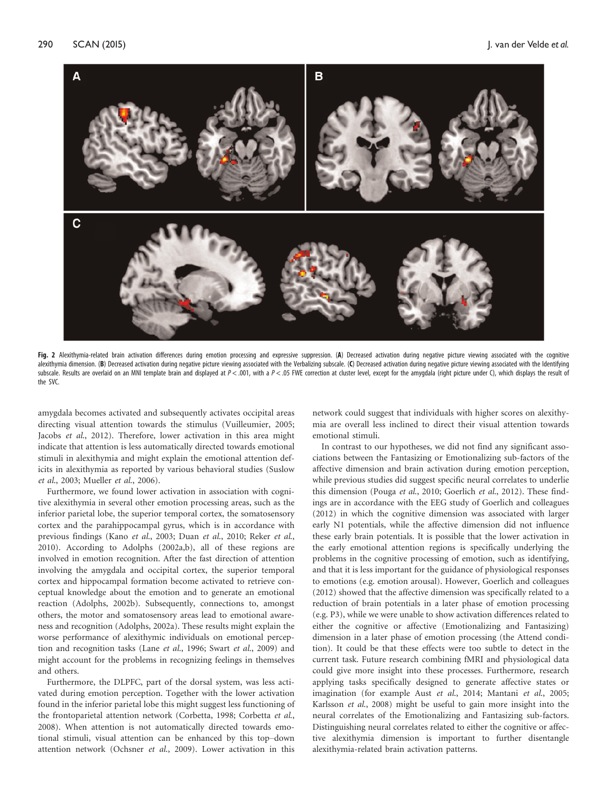<span id="page-5-0"></span>

Fig. 2 Alexithymia-related brain activation differences during emotion processing and expressive suppression. (A) Decreased activation during negative picture viewing associated with the cognitive alexithymia dimension. (B) Decreased activation during negative picture viewing associated with the Verbalizing subscale. (C) Decreased activation during negative picture viewing associated with the Identifying subscale. Results are overlaid on an MNI template brain and displayed at  $P < .001$ , with a  $P < .05$  FWE correction at cluster level, except for the amygdala (right picture under C), which displays the result of the SVC.

amygdala becomes activated and subsequently activates occipital areas directing visual attention towards the stimulus ([Vuilleumier, 2005;](#page-8-0) Jacobs et al[., 2012](#page-7-0)). Therefore, lower activation in this area might indicate that attention is less automatically directed towards emotional stimuli in alexithymia and might explain the emotional attention deficits in alexithymia as reported by various behavioral studies ([Suslow](#page-8-0) et al[., 2003](#page-8-0); [Mueller](#page-7-0) et al., 2006).

Furthermore, we found lower activation in association with cognitive alexithymia in several other emotion processing areas, such as the inferior parietal lobe, the superior temporal cortex, the somatosensory cortex and the parahippocampal gyrus, which is in accordance with previous findings (Kano et al[., 2003;](#page-7-0) Duan et al[., 2010](#page-7-0); [Reker](#page-7-0) et al., [2010](#page-7-0)). According to Adolphs [\(2002a](#page-7-0),[b](#page-7-0)), all of these regions are involved in emotion recognition. After the fast direction of attention involving the amygdala and occipital cortex, the superior temporal cortex and hippocampal formation become activated to retrieve conceptual knowledge about the emotion and to generate an emotional reaction ([Adolphs, 2002b\)](#page-7-0). Subsequently, connections to, amongst others, the motor and somatosensory areas lead to emotional awareness and recognition [\(Adolphs, 2002a\)](#page-7-0). These results might explain the worse performance of alexithymic individuals on emotional perception and recognition tasks (Lane et al[., 1996;](#page-7-0) Swart et al[., 2009\)](#page-8-0) and might account for the problems in recognizing feelings in themselves and others.

Furthermore, the DLPFC, part of the dorsal system, was less activated during emotion perception. Together with the lower activation found in the inferior parietal lobe this might suggest less functioning of the frontoparietal attention network ([Corbetta, 1998](#page-7-0); [Corbetta](#page-7-0) et al., [2008](#page-7-0)). When attention is not automatically directed towards emotional stimuli, visual attention can be enhanced by this top–down attention network [\(Ochsner](#page-7-0) et al., 2009). Lower activation in this

network could suggest that individuals with higher scores on alexithymia are overall less inclined to direct their visual attention towards emotional stimuli.

In contrast to our hypotheses, we did not find any significant associations between the Fantasizing or Emotionalizing sub-factors of the affective dimension and brain activation during emotion perception, while previous studies did suggest specific neural correlates to underlie this dimension (Pouga et al[., 2010](#page-7-0); [Goerlich](#page-7-0) et al., 2012). These findings are in accordance with the EEG study of Goerlich and colleagues [\(2012](#page-7-0)) in which the cognitive dimension was associated with larger early N1 potentials, while the affective dimension did not influence these early brain potentials. It is possible that the lower activation in the early emotional attention regions is specifically underlying the problems in the cognitive processing of emotion, such as identifying, and that it is less important for the guidance of physiological responses to emotions (e.g. emotion arousal). However, Goerlich and colleagues [\(2012](#page-7-0)) showed that the affective dimension was specifically related to a reduction of brain potentials in a later phase of emotion processing (e.g. P3), while we were unable to show activation differences related to either the cognitive or affective (Emotionalizing and Fantasizing) dimension in a later phase of emotion processing (the Attend condition). It could be that these effects were too subtle to detect in the current task. Future research combining fMRI and physiological data could give more insight into these processes. Furthermore, research applying tasks specifically designed to generate affective states or imagination (for example Aust et al[., 2014](#page-7-0); [Mantani](#page-7-0) et al., 2005; [Karlsson](#page-7-0) et al., 2008) might be useful to gain more insight into the neural correlates of the Emotionalizing and Fantasizing sub-factors. Distinguishing neural correlates related to either the cognitive or affective alexithymia dimension is important to further disentangle alexithymia-related brain activation patterns.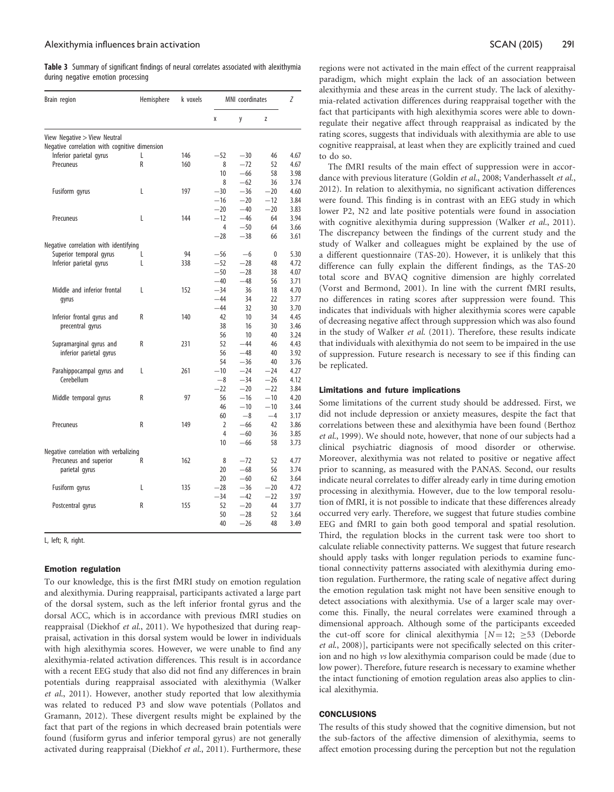<span id="page-6-0"></span>Table 3 Summary of significant findings of neural correlates associated with alexithymia during negative emotion processing

| Brain region                                  | Hemisphere | k voxels | MNI coordinates |       |       | Ζ    |
|-----------------------------------------------|------------|----------|-----------------|-------|-------|------|
|                                               |            |          | X               | y     | Z     |      |
| View Negative > View Neutral                  |            |          |                 |       |       |      |
| Negative correlation with cognitive dimension |            |          |                 |       |       |      |
| Inferior parietal gyrus                       | L          | 146      | $-52$           | $-30$ | 46    | 4.67 |
| Precuneus                                     | R          | 160      | 8               | $-72$ | 52    | 4.67 |
|                                               |            |          | 10              | $-66$ | 58    | 3.98 |
|                                               |            |          | 8               | $-62$ | 36    | 3.74 |
| Fusiform gyrus                                | L          | 197      | $-30$           | $-36$ | $-20$ | 4.60 |
|                                               |            |          | $-16$           | $-20$ | $-12$ | 3.84 |
|                                               |            |          | $-20$           | $-40$ | $-20$ | 3.83 |
| Precuneus                                     | L          | 144      | $-12$           | $-46$ | 64    | 3.94 |
|                                               |            |          | 4               | $-50$ | 64    | 3.66 |
|                                               |            |          | $-28$           | $-38$ | 66    | 3.61 |
| Negative correlation with identifying         |            |          |                 |       |       |      |
| Superior temporal gyrus                       | L          | 94       | $-56$           | $-6$  | 0     | 5.30 |
| Inferior parietal gyrus                       | L          | 338      | $-52$           | $-28$ | 48    | 4.72 |
|                                               |            |          | $-50$           | $-28$ | 38    | 4.07 |
|                                               |            |          | $-40$           | $-48$ | 56    | 3.71 |
| Middle and inferior frontal                   | L          | 152      | $-34$           | 36    | 18    | 4.70 |
| gyrus                                         |            |          | $-44$           | 34    | 22    | 3.77 |
|                                               |            |          | $-44$           | 32    | 30    | 3.70 |
| Inferior frontal gyrus and                    | R          | 140      | 42              | 10    | 34    | 4.45 |
| precentral gyrus                              |            |          | 38              | 16    | 30    | 3.46 |
|                                               |            |          | 56              | 10    | 40    | 3.24 |
| Supramarginal gyrus and                       | R          | 231      | 52              | $-44$ | 46    | 4.43 |
| inferior parietal gyrus                       |            |          | 56              | $-48$ | 40    | 3.92 |
|                                               |            |          | 54              | $-36$ | 40    | 3.76 |
| Parahippocampal gyrus and                     | L          | 261      | $-10$           | $-24$ | $-24$ | 4.27 |
| Cerebellum                                    |            |          | $-8$            | $-34$ | $-26$ | 4.12 |
|                                               |            |          | $-22$           | $-20$ | $-22$ | 3.84 |
| Middle temporal gyrus                         | R          | 97       | 56              | $-16$ | $-10$ | 4.20 |
|                                               |            |          | 46              | $-10$ | $-10$ | 3.44 |
|                                               |            |          | 60              | $-8$  | $-4$  | 3.17 |
| Precuneus                                     | R          | 149      | 2               | $-66$ | 42    | 3.86 |
|                                               |            |          | 4               | $-60$ | 36    | 3.85 |
|                                               |            |          | 10              | $-66$ | 58    | 3.73 |
| Negative correlation with verbalizing         |            |          |                 |       |       |      |
| Precuneus and superior                        | R          | 162      | 8               | $-72$ | 52    | 4.77 |
| parietal gyrus                                |            |          | 20              | $-68$ | 56    | 3.74 |
|                                               |            |          | 20              | $-60$ | 62    | 3.64 |
| Fusiform gyrus                                | L          | 135      | $-28$           | $-36$ | $-20$ | 4.72 |
|                                               |            |          | $-34$           | $-42$ | $-22$ | 3.97 |
| Postcentral gyrus                             | R          | 155      | 52              | $-20$ | 44    | 3.77 |
|                                               |            |          | 50              | $-28$ | 52    | 3.64 |
|                                               |            |          | 40              | $-26$ | 48    | 3.49 |

L, left; R, right.

#### Emotion regulation

To our knowledge, this is the first fMRI study on emotion regulation and alexithymia. During reappraisal, participants activated a large part of the dorsal system, such as the left inferior frontal gyrus and the dorsal ACC, which is in accordance with previous fMRI studies on reappraisal [\(Diekhof](#page-7-0) et al., 2011). We hypothesized that during reappraisal, activation in this dorsal system would be lower in individuals with high alexithymia scores. However, we were unable to find any alexithymia-related activation differences. This result is in accordance with a recent EEG study that also did not find any differences in brain potentials during reappraisal associated with alexithymia [\(Walker](#page-8-0) et al[., 2011](#page-8-0)). However, another study reported that low alexithymia was related to reduced P3 and slow wave potentials ([Pollatos and](#page-7-0) [Gramann, 2012\)](#page-7-0). These divergent results might be explained by the fact that part of the regions in which decreased brain potentials were found (fusiform gyrus and inferior temporal gyrus) are not generally activated during reappraisal ([Diekhof](#page-7-0) et al., 2011). Furthermore, these regions were not activated in the main effect of the current reappraisal paradigm, which might explain the lack of an association between alexithymia and these areas in the current study. The lack of alexithymia-related activation differences during reappraisal together with the fact that participants with high alexithymia scores were able to downregulate their negative affect through reappraisal as indicated by the rating scores, suggests that individuals with alexithymia are able to use cognitive reappraisal, at least when they are explicitly trained and cued to do so.

The fMRI results of the main effect of suppression were in accor-dance with previous literature ([Goldin](#page-7-0) et al., 2008; [Vanderhasselt](#page-8-0) et al., [2012\)](#page-8-0). In relation to alexithymia, no significant activation differences were found. This finding is in contrast with an EEG study in which lower P2, N2 and late positive potentials were found in association with cognitive alexithymia during suppression ([Walker](#page-8-0) et al., 2011). The discrepancy between the findings of the current study and the study of Walker and colleagues might be explained by the use of a different questionnaire (TAS-20). However, it is unlikely that this difference can fully explain the different findings, as the TAS-20 total score and BVAQ cognitive dimension are highly correlated ([Vorst and Bermond, 2001\)](#page-8-0). In line with the current fMRI results, no differences in rating scores after suppression were found. This indicates that individuals with higher alexithymia scores were capable of decreasing negative affect through suppression which was also found in the study of Walker et al[. \(2011\).](#page-8-0) Therefore, these results indicate that individuals with alexithymia do not seem to be impaired in the use of suppression. Future research is necessary to see if this finding can be replicated.

#### Limitations and future implications

Some limitations of the current study should be addressed. First, we did not include depression or anxiety measures, despite the fact that correlations between these and alexithymia have been found [\(Berthoz](#page-7-0) et al[., 1999](#page-7-0)). We should note, however, that none of our subjects had a clinical psychiatric diagnosis of mood disorder or otherwise. Moreover, alexithymia was not related to positive or negative affect prior to scanning, as measured with the PANAS. Second, our results indicate neural correlates to differ already early in time during emotion processing in alexithymia. However, due to the low temporal resolution of fMRI, it is not possible to indicate that these differences already occurred very early. Therefore, we suggest that future studies combine EEG and fMRI to gain both good temporal and spatial resolution. Third, the regulation blocks in the current task were too short to calculate reliable connectivity patterns. We suggest that future research should apply tasks with longer regulation periods to examine functional connectivity patterns associated with alexithymia during emotion regulation. Furthermore, the rating scale of negative affect during the emotion regulation task might not have been sensitive enough to detect associations with alexithymia. Use of a larger scale may overcome this. Finally, the neural correlates were examined through a dimensional approach. Although some of the participants exceeded the cut-off score for clinical alexithymia  $[N = 12; \geq 53$  [\(Deborde](#page-7-0) et al[., 2008](#page-7-0))], participants were not specifically selected on this criterion and no high vs low alexithymia comparison could be made (due to low power). Therefore, future research is necessary to examine whether the intact functioning of emotion regulation areas also applies to clinical alexithymia.

# **CONCLUSIONS**

The results of this study showed that the cognitive dimension, but not the sub-factors of the affective dimension of alexithymia, seems to affect emotion processing during the perception but not the regulation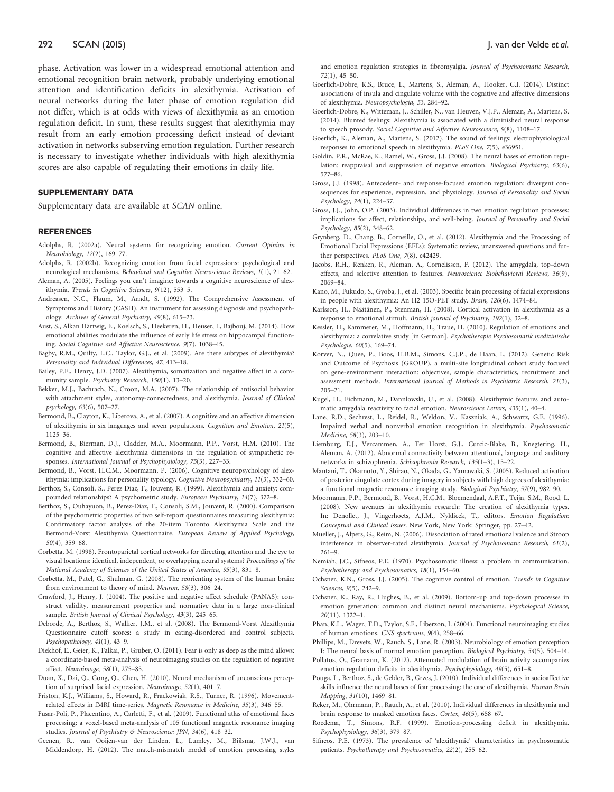# <span id="page-7-0"></span>292 SCAN (2015) 2008 SCAN (2015) 2008 12:00 12:00 12:00 12:00 12:00 12:00 12:00 12:00 12:00 12:00 12:00 12:00 12:00 12:00 12:00 12:00 12:00 12:00 12:00 12:00 12:00 12:00 12:00 12:00 12:00 12:00 12:00 12:00 12:00 12:00 12:0

phase. Activation was lower in a widespread emotional attention and emotional recognition brain network, probably underlying emotional attention and identification deficits in alexithymia. Activation of neural networks during the later phase of emotion regulation did not differ, which is at odds with views of alexithymia as an emotion regulation deficit. In sum, these results suggest that alexithymia may result from an early emotion processing deficit instead of deviant activation in networks subserving emotion regulation. Further research is necessary to investigate whether individuals with high alexithymia scores are also capable of regulating their emotions in daily life.

# SUPPLEMENTARY DATA

[Supplementary data](http://scan.oxfordjournals.org/lookup/suppl/doi:10.1093/scan/nsu056/-/DC1) are available at SCAN online.

#### **REFERENCES**

- Adolphs, R. (2002a). Neural systems for recognizing emotion. Current Opinion in Neurobiology, 12(2), 169–77.
- Adolphs, R. (2002b). Recognizing emotion from facial expressions: psychological and neurological mechanisms. Behavioral and Cognitive Neuroscience Reviews, 1(1), 21–62.
- Aleman, A. (2005). Feelings you can't imagine: towards a cognitive neuroscience of alexithymia. Trends in Cognitive Sciences, 9(12), 553–5.
- Andreasen, N.C., Flaum, M., Arndt, S. (1992). The Comprehensive Assessment of Symptoms and History (CASH). An instrument for assessing diagnosis and psychopathology. Archives of General Psychiatry, 49(8), 615–23.
- Aust, S., Alkan Härtwig, E., Koelsch, S., Heekeren, H., Heuser, I., Bajbouj, M. (2014). How emotional abilities modulate the influence of early life stress on hippocampal functioning. Social Cognitive and Affective Neuroscience, 9(7), 1038–45.
- Bagby, R.M., Quilty, L.C., Taylor, G.J., et al. (2009). Are there subtypes of alexithymia? Personality and Individual Differences, 47, 413–18.
- Bailey, P.E., Henry, J.D. (2007). Alexithymia, somatization and negative affect in a community sample. Psychiatry Research, 150(1), 13–20.
- Bekker, M.J., Bachrach, N., Croon, M.A. (2007). The relationship of antisocial behavior with attachment styles, autonomy-connectedness, and alexithymia. Journal of Clinical psychology, 63(6), 507–27.
- Bermond, B., Clayton, K., Liberova, A., et al. (2007). A cognitive and an affective dimension of alexithymia in six languages and seven populations. Cognition and Emotion, 21(5), 1125–36.
- Bermond, B., Bierman, D.J., Cladder, M.A., Moormann, P.P., Vorst, H.M. (2010). The cognitive and affective alexithymia dimensions in the regulation of sympathetic responses. International Journal of Psychophysiology, 75(3), 227–33.
- Bermond, B., Vorst, H.C.M., Moormann, P. (2006). Cognitive neuropsychology of alexithymia: implications for personality typology. Cognitive Neuropsychiatry, 11(3), 332–60.
- Berthoz, S., Consoli, S., Perez Diaz, F., Jouvent, R. (1999). Alexithymia and anxiety: compounded relationships? A psychometric study. European Psychiatry, 14(7), 372–8.
- Berthoz, S., Ouhayuon, B., Perez-Diaz, F., Consoli, S.M., Jouvent, R. (2000). Comparison of the psychometric properties of two self-report questionnaires measuring alexithymia: Confirmatory factor analysis of the 20-item Toronto Alexithymia Scale and the Bermond-Vorst Alexithymia Questionnaire. European Review of Applied Psychology, 50(4), 359–68.
- Corbetta, M. (1998). Frontoparietal cortical networks for directing attention and the eye to visual locations: identical, independent, or overlapping neural systems? Proceedings of the National Academy of Sciences of the United States of America, 95(3), 831–8.
- Corbetta, M., Patel, G., Shulman, G. (2008). The reorienting system of the human brain: from environment to theory of mind. Neuron, 58(3), 306–24.
- Crawford, J., Henry, J. (2004). The positive and negative affect schedule (PANAS): construct validity, measurement properties and normative data in a large non-clinical sample. British Journal of Clinical Psychology, 43(3), 245–65.
- Deborde, A., Berthoz, S., Wallier, J.M., et al. (2008). The Bermond-Vorst Alexithymia Questionnaire cutoff scores: a study in eating-disordered and control subjects. Psychopathology, 41(1), 43–9.
- Diekhof, E., Geier, K., Falkai, P., Gruber, O. (2011). Fear is only as deep as the mind allows: a coordinate-based meta-analysis of neuroimaging studies on the regulation of negative affect. Neuroimage, 58(1), 275–85.
- Duan, X., Dai, Q., Gong, Q., Chen, H. (2010). Neural mechanism of unconscious perception of surprised facial expression. Neuroimage, 52(1), 401-7.
- Friston, K.J., Williams, S., Howard, R., Frackowiak, R.S., Turner, R. (1996). Movementrelated effects in fMRI time-series. Magnetic Resonance in Medicine, 35(3), 346–55.
- Fusar-Poli, P., Placentino, A., Carletti, F., et al. (2009). Functional atlas of emotional faces processing: a voxel-based meta-analysis of 105 functional magnetic resonance imaging studies. Journal of Psychiatry & Neuroscience: JPN, 34(6), 418–32.
- Geenen, R., van Ooijen-van der Linden, L., Lumley, M., Bijlsma, J.W.J., van Middendorp, H. (2012). The match-mismatch model of emotion processing styles

and emotion regulation strategies in fibromyalgia. Journal of Psychosomatic Research, 72(1), 45–50.

- Goerlich-Dobre, K.S., Bruce, L., Martens, S., Aleman, A., Hooker, C.I. (2014). Distinct associations of insula and cingulate volume with the cognitive and affective dimensions of alexithymia. Neuropsychologia, 53, 284–92.
- Goerlich-Dobre, K., Witteman, J., Schiller, N., van Heuven, V.J.P., Aleman, A., Martens, S. (2014). Blunted feelings: Alexithymia is associated with a diminished neural response to speech prosody. Social Cognitive and Affective Neuroscience, 9(8), 1108–17.
- Goerlich, K., Aleman, A., Martens, S. (2012). The sound of feelings: electrophysiological responses to emotional speech in alexithymia. PLoS One, 7(5), e36951.
- Goldin, P.R., McRae, K., Ramel, W., Gross, J.J. (2008). The neural bases of emotion regulation: reappraisal and suppression of negative emotion. Biological Psychiatry, 63(6), 577–86.
- Gross, J.J. (1998). Antecedent- and response-focused emotion regulation: divergent consequences for experience, expression, and physiology. Journal of Personality and Social Psychology, 74(1), 224–37.
- Gross, J.J., John, O.P. (2003). Individual differences in two emotion regulation processes: implications for affect, relationships, and well-being. Journal of Personality and Social Psychology, 85(2), 348–62.
- Grynberg, D., Chang, B., Corneille, O., et al. (2012). Alexithymia and the Processing of Emotional Facial Expressions (EFEs): Systematic review, unanswered questions and further perspectives. PLoS One, 7(8), e42429.
- Jacobs, R.H., Renken, R., Aleman, A., Cornelissen, F. (2012). The amygdala, top-down effects, and selective attention to features. Neuroscience Biobehavioral Reviews, 36(9), 2069–84.
- Kano, M., Fukudo, S., Gyoba, J., et al. (2003). Specific brain processing of facial expressions in people with alexithymia: An H2 15O-PET study. Brain, 126(6), 1474–84.
- Karlsson, H., Näätänen, P., Stenman, H. (2008). Cortical activation in alexithymia as a response to emotional stimuli. British journal of Psychiatry, 192(1), 32–8.
- Kessler, H., Kammerer, M., Hoffmann, H., Traue, H. (2010). Regulation of emotions and alexithymia: a correlative study [in German]. Psychotherapie Psychosomatik medizinische Psychologie, 60(5), 169–74.
- Korver, N., Quee, P., Boos, H.B.M., Simons, C.J.P., de Haan, L. (2012). Genetic Risk and Outcome of Psychosis (GROUP), a multi-site longitudinal cohort study focused on gene-environment interaction: objectives, sample characteristics, recruitment and assessment methods. International Journal of Methods in Psychiatric Research, 21(3), 205–21.
- Kugel, H., Eichmann, M., Dannlowski, U., et al. (2008). Alexithymic features and automatic amygdala reactivity to facial emotion. Neuroscience Letters, 435(1), 40–4.
- Lane, R.D., Sechrest, L., Reidel, R., Weldon, V., Kaszniak, A., Schwartz, G.E. (1996). Impaired verbal and nonverbal emotion recognition in alexithymia. Psychosomatic Medicine, 58(3), 203–10.
- Liemburg, E.J., Vercammen, A., Ter Horst, G.J., Curcic-Blake, B., Knegtering, H., Aleman, A. (2012). Abnormal connectivity between attentional, language and auditory networks in schizophrenia. Schizophrenia Research, 135(1–3), 15–22.
- Mantani, T., Okamoto, Y., Shirao, N., Okada, G., Yamawaki, S. (2005). Reduced activation of posterior cingulate cortex during imagery in subjects with high degrees of alexithymia: a functional magnetic resonance imaging study. Biological Psychiatry, 57(9), 982–90.
- Moormann, P.P., Bermond, B., Vorst, H.C.M., Bloemendaal, A.F.T., Teijn, S.M., Rood, L. (2008). New avenues in alexithymia research: The creation of alexithymia types. In: Denollet, J., Vingerhoets, A.J.M., Nyklicek, T., editors. Emotion Regulation: Conceptual and Clinical Issues. New York, New York: Springer, pp. 27–42.
- Mueller, J., Alpers, G., Reim, N. (2006). Dissociation of rated emotional valence and Stroop interference in observer-rated alexithymia. Journal of Psychosomatic Research, 61(2), 261–9.
- Nemiah, J.C., Sifneos, P.E. (1970). Psychosomatic illness: a problem in communication. Psychotherapy and Psychosomatics, 18(1), 154–60.
- Ochsner, K.N., Gross, J.J. (2005). The cognitive control of emotion. Trends in Cognitive Sciences, 9(5), 242–9.
- Ochsner, K., Ray, R., Hughes, B., et al. (2009). Bottom-up and top-down processes in emotion generation: common and distinct neural mechanisms. Psychological Science, 20(11), 1322–1.
- Phan, K.L., Wager, T.D., Taylor, S.F., Liberzon, I. (2004). Functional neuroimaging studies of human emotions. CNS spectrums, 9(4), 258–66.

Phillips, M., Drevets, W., Rauch, S., Lane, R. (2003). Neurobiology of emotion perception I: The neural basis of normal emotion perception. Biological Psychiatry, 54(5), 504–14.

- Pollatos, O., Gramann, K. (2012). Attenuated modulation of brain activity accompanies emotion regulation deficits in alexithymia. Psychophysiology, 49(5), 651–8.
- Pouga, L., Berthoz, S., de Gelder, B., Grzes, J. (2010). Individual differences in socioaffective skills influence the neural bases of fear processing: the case of alexithymia. Human Brain Mapping, 31(10), 1469–81.
- Reker, M., Ohrmann, P., Rauch, A., et al. (2010). Individual differences in alexithymia and brain response to masked emotion faces. Cortex, 46(5), 658–67.
- Roedema, T., Simons, R.F. (1999). Emotion-processing deficit in alexithymia. Psychophysiology, 36(3), 379–87.
- Sifneos, P.E. (1973). The prevalence of 'alexithymic' characteristics in psychosomatic patients. Psychotherapy and Psychosomatics, 22(2), 255–62.